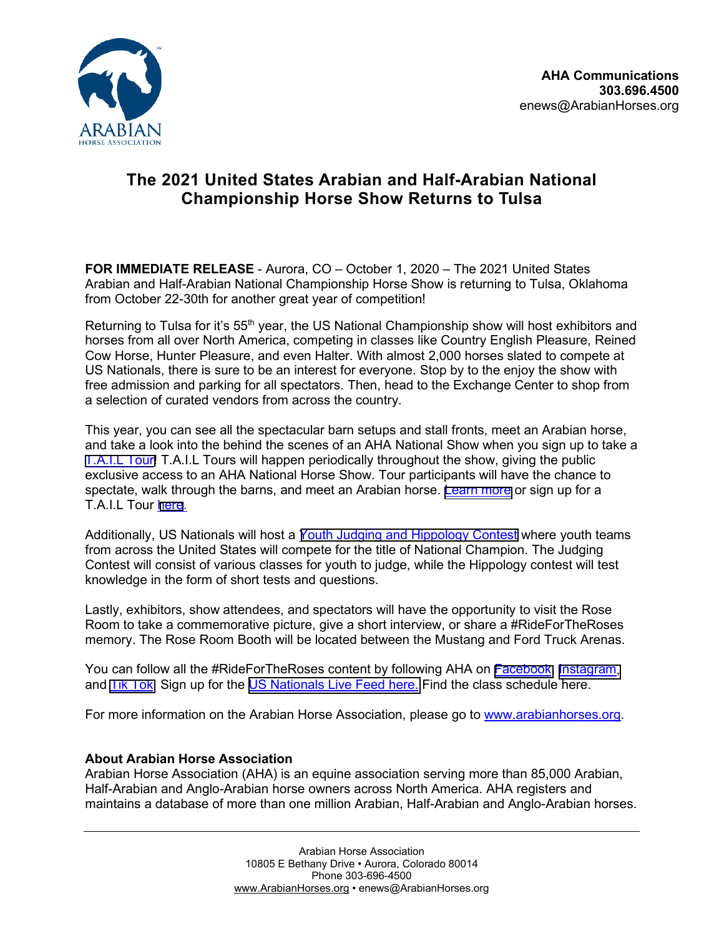

## **The 2021 United States Arabian and Half-Arabian National Championship Horse Show Returns to Tulsa**

**FOR IMMEDIATE RELEASE** - Aurora, CO – October 1, 2020 – The 2021 United States Arabian and Half-Arabian National Championship Horse Show is returning to Tulsa, Oklahoma from October 22-30th for another great year of competition!

Returning to Tulsa for it's 55<sup>th</sup> year, the US National Championship show will host exhibitors and horses from all over North America, competing in classes like Country English Pleasure, Reined Cow Horse, Hunter Pleasure, and even Halter. With almost 2,000 horses slated to compete at US Nationals, there is sure to be an interest for everyone. Stop by to the enjoy the show with free admission and parking for all spectators. Then, head to the Exchange Center to shop from a selection of curated vendors from across the country.

This year, you can see all the spectacular barn setups and stall fronts, meet an Arabian horse, and take a look into the behind the scenes of an AHA National Show when you sign up to take a [T.A.I.L](https://www.arabianhorses.org/USNTail) Tour! T.A.I.L Tours will happen periodically throughout the show, giving the public exclusive access to an AHA National Horse Show. Tour participants will have the chance to spectate, walk through the barns, and meet an Arabian horse. [Learn more](https://www.arabianhorses.org/USNTail) or sign up for a T.A.I.L Tour [here](https://docs.google.com/forms/d/e/1FAIpQLScDdMcA9XYlLnMNKy9-em2c1r2tznmbx5LD2eEjWPrFTK7jVA/viewform).

Additionally, US Nationals will host a [Youth Judging and Hippology Contest](https://www.arabianhorses.org/YouthJudging) where youth teams from across the United States will compete for the title of National Champion. The Judging Contest will consist of various classes for youth to judge, while the Hippology contest will test knowledge in the form of short tests and questions.

Lastly, exhibitors, show attendees, and spectators will have the opportunity to visit the Rose Room to take a commemorative picture, give a short interview, or share a #RideForTheRoses memory. The Rose Room Booth will be located between the Mustang and Ford Truck Arenas.

You can follow all the #RideForTheRoses content by following AHA on [Facebook,](https://www.facebook.com/ArabianHorseAssociation) Instagram, and [Tik Tok.](https://www.tiktok.com/@arabianhorseassoc?) Sign up for the [US Nationals Live Feed](http://arabianhorses.stream/) here. Find the class schedule here.

For more information on the Arabian Horse Association, please go to [www.arabianhorses.org.](http://www.arabianhorses.org)

## **About Arabian Horse Association**

Arabian Horse Association (AHA) is an equine association serving more than 85,000 Arabian, Half-Arabian and Anglo-Arabian horse owners across North America. AHA registers and maintains a database of more than one million Arabian, Half-Arabian and Anglo-Arabian horses.